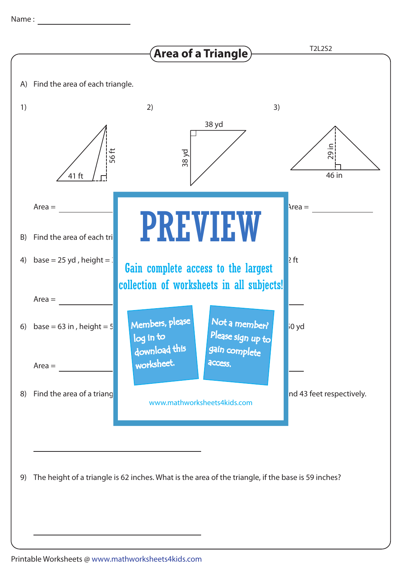